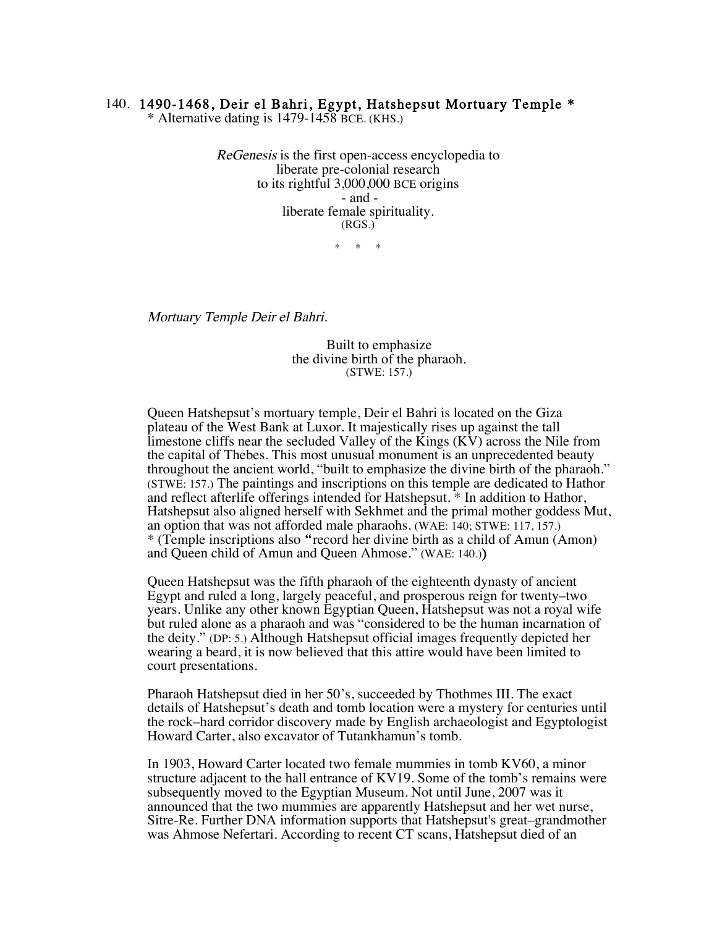## 140. 1490-1468, Deir el Bahri, Egypt, Hatshepsut Mortuary Temple \*

\* Alternative dating is 1479-1458 BCE. (KHS.)

ReGenesis is the first open-access encyclopedia to liberate pre-colonial research to its rightful 3,000,000 BCE origins - and liberate female spirituality. (RGS.)

\* \* \*

Mortuary Temple Deir el Bahri.

Built to emphasize the divine birth of the pharaoh. (STWE: 157.)

Queen Hatshepsut's mortuary temple, Deir el Bahri is located on the Giza plateau of the West Bank at Luxor. It majestically rises up against the tall limestone cliffs near the secluded Valley of the Kings (KV) across the Nile from the capital of Thebes. This most unusual monument is an unprecedented beauty throughout the ancient world, "built to emphasize the divine birth of the pharaoh." (STWE: 157.) The paintings and inscriptions on this temple are dedicated to Hathor and reflect afterlife offerings intended for Hatshepsut. \* In addition to Hathor, Hatshepsut also aligned herself with Sekhmet and the primal mother goddess Mut, an option that was not afforded male pharaohs. (WAE: 140; STWE: 117, 157.) \* (Temple inscriptions also "record her divine birth as a child of Amun (Amon) and Queen child of Amun and Queen Ahmose." (WAE: 140.))

Queen Hatshepsut was the fifth pharaoh of the eighteenth dynasty of ancient Egypt and ruled a long, largely peaceful, and prosperous reign for twenty–two years. Unlike any other known Egyptian Queen, Hatshepsut was not a royal wife but ruled alone as a pharaoh and was "considered to be the human incarnation of the deity." (DP: 5.) Although Hatshepsut official images frequently depicted her wearing a beard, it is now believed that this attire would have been limited to court presentations.

Pharaoh Hatshepsut died in her 50's, succeeded by Thothmes III. The exact details of Hatshepsut's death and tomb location were a mystery for centuries until the rock–hard corridor discovery made by English archaeologist and Egyptologist Howard Carter, also excavator of Tutankhamun's tomb.

In 1903, Howard Carter located two female mummies in tomb KV60, a minor structure adjacent to the hall entrance of KV19. Some of the tomb's remains were subsequently moved to the Egyptian Museum. Not until June, 2007 was it announced that the two mummies are apparently Hatshepsut and her wet nurse, Sitre-Re. Further DNA information supports that Hatshepsut's great–grandmother was Ahmose Nefertari. According to recent CT scans, Hatshepsut died of an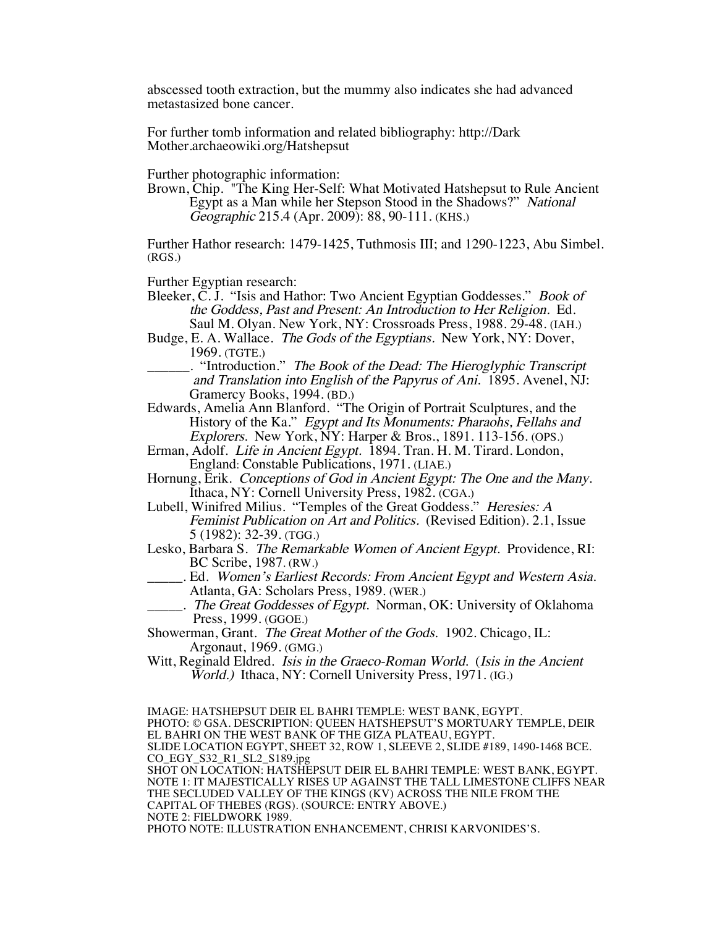abscessed tooth extraction, but the mummy also indicates she had advanced metastasized bone cancer.

For further tomb information and related bibliography: http://Dark Mother.archaeowiki.org/Hatshepsut

Further photographic information:

Brown, Chip. "The King Her-Self: What Motivated Hatshepsut to Rule Ancient Egypt as a Man while her Stepson Stood in the Shadows?" National Geographic 215.4 (Apr. 2009): 88, 90-111. (KHS.)

Further Hathor research: 1479-1425, Tuthmosis III; and 1290-1223, Abu Simbel. (RGS.)

Further Egyptian research:

- Bleeker, C. J. "Isis and Hathor: Two Ancient Egyptian Goddesses." Book of the Goddess, Past and Present: An Introduction to Her Religion. Ed. Saul M. Olyan. New York, NY: Crossroads Press, 1988. 29-48. (IAH.)
- Budge, E. A. Wallace. The Gods of the Egyptians. New York, NY: Dover, 1969. (TGTE.)
- \_\_\_\_\_\_. "Introduction." The Book of the Dead: The Hieroglyphic Transcript and Translation into English of the Papyrus of Ani. 1895. Avenel, NJ: Gramercy Books, 1994. (BD.)
- Edwards, Amelia Ann Blanford. "The Origin of Portrait Sculptures, and the History of the Ka." Egypt and Its Monuments: Pharaohs, Fellahs and Explorers. New York, NY: Harper & Bros., 1891. 113-156. (OPS.)
- Erman, Adolf. Life in Ancient Egypt. 1894. Tran. H. M. Tirard. London, England: Constable Publications, 1971. (LIAE.)
- Hornung, Erik. Conceptions of God in Ancient Egypt: The One and the Many. Ithaca, NY: Cornell University Press, 1982. (CGA.)
- Lubell, Winifred Milius. "Temples of the Great Goddess." Heresies: A Feminist Publication on Art and Politics. (Revised Edition). 2.1, Issue 5 (1982): 32-39. (TGG.)
- Lesko, Barbara S. The Remarkable Women of Ancient Egypt. Providence, RI: BC Scribe, 1987. (RW.)
- \_\_\_\_\_. Ed. Women's Earliest Records: From Ancient Egypt and Western Asia. Atlanta, GA: Scholars Press, 1989. (WER.)
	- . The Great Goddesses of Egypt. Norman, OK: University of Oklahoma Press, 1999. (GGOE.)

Showerman, Grant. The Great Mother of the Gods. 1902. Chicago, IL: Argonaut, 1969. (GMG.)

Witt, Reginald Eldred. *Isis in the Graeco-Roman World.* (*Isis in the Ancient* World.) Ithaca, NY: Cornell University Press, 1971. (IG.)

IMAGE: HATSHEPSUT DEIR EL BAHRI TEMPLE: WEST BANK, EGYPT. PHOTO: © GSA. DESCRIPTION: QUEEN HATSHEPSUT'S MORTUARY TEMPLE, DEIR EL BAHRI ON THE WEST BANK OF THE GIZA PLATEAU, EGYPT. SLIDE LOCATION EGYPT, SHEET 32, ROW 1, SLEEVE 2, SLIDE #189, 1490-1468 BCE. CO\_EGY\_S32\_R1\_SL2\_S189.jpg SHOT ON LOCATION: HATSHEPSUT DEIR EL BAHRI TEMPLE: WEST BANK, EGYPT. NOTE 1: IT MAJESTICALLY RISES UP AGAINST THE TALL LIMESTONE CLIFFS NEAR THE SECLUDED VALLEY OF THE KINGS (KV) ACROSS THE NILE FROM THE CAPITAL OF THEBES (RGS). (SOURCE: ENTRY ABOVE.) NOTE 2: FIELDWORK 1989. PHOTO NOTE: ILLUSTRATION ENHANCEMENT, CHRISI KARVONIDES'S.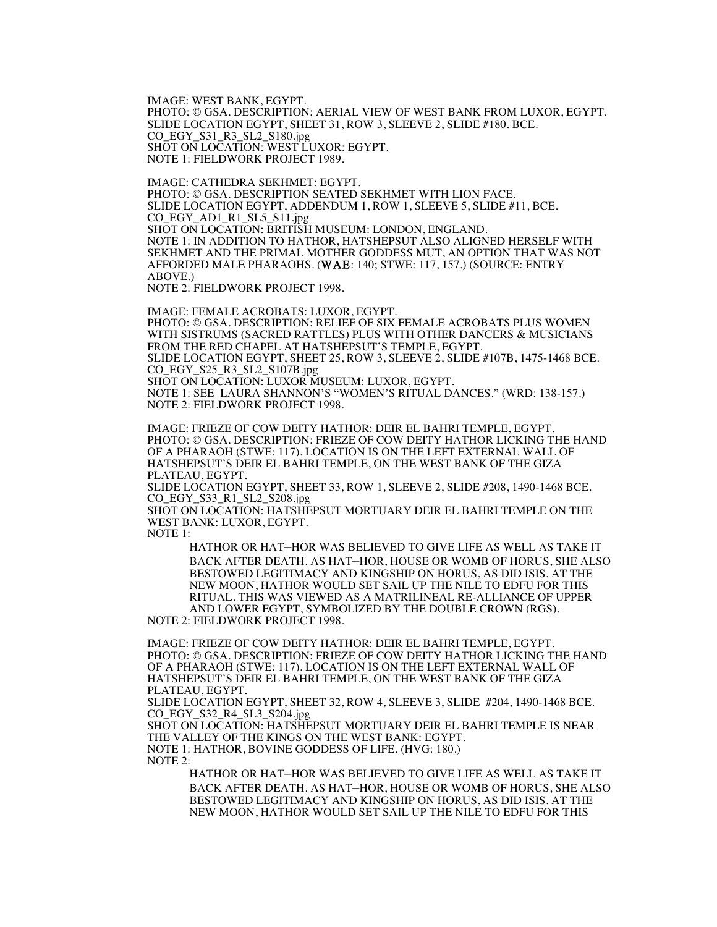IMAGE: WEST BANK, EGYPT.<br>PHOTO: © GSA. DESCRIPTION: AERIAL VIEW OF WEST BANK FROM LUXOR, EGYPT. SLIDE LOCATION EGYPT, SHEET 31, ROW 3, SLEEVE 2, SLIDE #180. BCE. CO\_EGY\_S31\_R3\_SL2\_S180.jpg SHOT ON LOCATION: WEST LUXOR: EGYPT. NOTE 1: FIELDWORK PROJECT 1989.

IMAGE: CATHEDRA SEKHMET: EGYPT. PHOTO: © GSA. DESCRIPTION SEATED SEKHMET WITH LION FACE. SLIDE LOCATION EGYPT, ADDENDUM 1, ROW 1, SLEEVE 5, SLIDE #11, BCE. CO\_EGY\_AD1\_R1\_SL5\_S11.jpg SHOT ON LOCATION: BRITISH MUSEUM: LONDON, ENGLAND. NOTE 1: IN ADDITION TO HATHOR, HATSHEPSUT ALSO ALIGNED HERSELF WITH SEKHMET AND THE PRIMAL MOTHER GODDESS MUT, AN OPTION THAT WAS NOT AFFORDED MALE PHARAOHS. (WAE: 140; STWE: 117, 157.) (SOURCE: ENTRY ABOVE.)

NOTE 2: FIELDWORK PROJECT 1998.

IMAGE: FEMALE ACROBATS: LUXOR, EGYPT. PHOTO: © GSA. DESCRIPTION: RELIEF OF SIX FEMALE ACROBATS PLUS WOMEN WITH SISTRUMS (SACRED RATTLES) PLUS WITH OTHER DANCERS & MUSICIANS FROM THE RED CHAPEL AT HATSHEPSUT'S TEMPLE, EGYPT. SLIDE LOCATION EGYPT, SHEET 25, ROW 3, SLEEVE 2, SLIDE #107B, 1475-1468 BCE. CO\_EGY\_S25\_R3\_SL2\_S107B.jpg SHOT ON LOCATION: LUXOR MUSEUM: LUXOR, EGYPT. NOTE 1: SEE LAURA SHANNON'S "WOMEN'S RITUAL DANCES." (WRD: 138-157.) NOTE 2: FIELDWORK PROJECT 1998.

IMAGE: FRIEZE OF COW DEITY HATHOR: DEIR EL BAHRI TEMPLE, EGYPT. PHOTO: © GSA. DESCRIPTION: FRIEZE OF COW DEITY HATHOR LICKING THE HAND OF A PHARAOH (STWE: 117). LOCATION IS ON THE LEFT EXTERNAL WALL OF HATSHEPSUT'S DEIR EL BAHRI TEMPLE, ON THE WEST BANK OF THE GIZA PLATEAU, EGYPT.

SLIDE LOCATION EGYPT, SHEET 33, ROW 1, SLEEVE 2, SLIDE #208, 1490-1468 BCE. CO\_EGY\_S33\_R1\_SL2\_S208.jpg

SHOT ON LOCATION: HATSHEPSUT MORTUARY DEIR EL BAHRI TEMPLE ON THE WEST BANK: LUXOR, EGYPT.

NOTE 1:

HATHOR OR HAT–HOR WAS BELIEVED TO GIVE LIFE AS WELL AS TAKE IT BACK AFTER DEATH. AS HAT–HOR, HOUSE OR WOMB OF HORUS, SHE ALSO BESTOWED LEGITIMACY AND KINGSHIP ON HORUS, AS DID ISIS. AT THE NEW MOON, HATHOR WOULD SET SAIL UP THE NILE TO EDFU FOR THIS RITUAL. THIS WAS VIEWED AS A MATRILINEAL RE-ALLIANCE OF UPPER AND LOWER EGYPT, SYMBOLIZED BY THE DOUBLE CROWN (RGS).

NOTE 2: FIELDWORK PROJECT 1998.

IMAGE: FRIEZE OF COW DEITY HATHOR: DEIR EL BAHRI TEMPLE, EGYPT. PHOTO: © GSA. DESCRIPTION: FRIEZE OF COW DEITY HATHOR LICKING THE HAND OF A PHARAOH (STWE: 117). LOCATION IS ON THE LEFT EXTERNAL WALL OF HATSHEPSUT'S DEIR EL BAHRI TEMPLE, ON THE WEST BANK OF THE GIZA PLATEAU, EGYPT.

SLIDE LOCATION EGYPT, SHEET 32, ROW 4, SLEEVE 3, SLIDE #204, 1490-1468 BCE. CO\_EGY\_S32\_R4\_SL3\_S204.jpg

SHOT ON LOCATION: HATSHEPSUT MORTUARY DEIR EL BAHRI TEMPLE IS NEAR THE VALLEY OF THE KINGS ON THE WEST BANK: EGYPT. NOTE 1: HATHOR, BOVINE GODDESS OF LIFE. (HVG: 180.) NOTE 2:

HATHOR OR HAT–HOR WAS BELIEVED TO GIVE LIFE AS WELL AS TAKE IT BACK AFTER DEATH. AS HAT–HOR, HOUSE OR WOMB OF HORUS, SHE ALSO BESTOWED LEGITIMACY AND KINGSHIP ON HORUS, AS DID ISIS. AT THE NEW MOON, HATHOR WOULD SET SAIL UP THE NILE TO EDFU FOR THIS